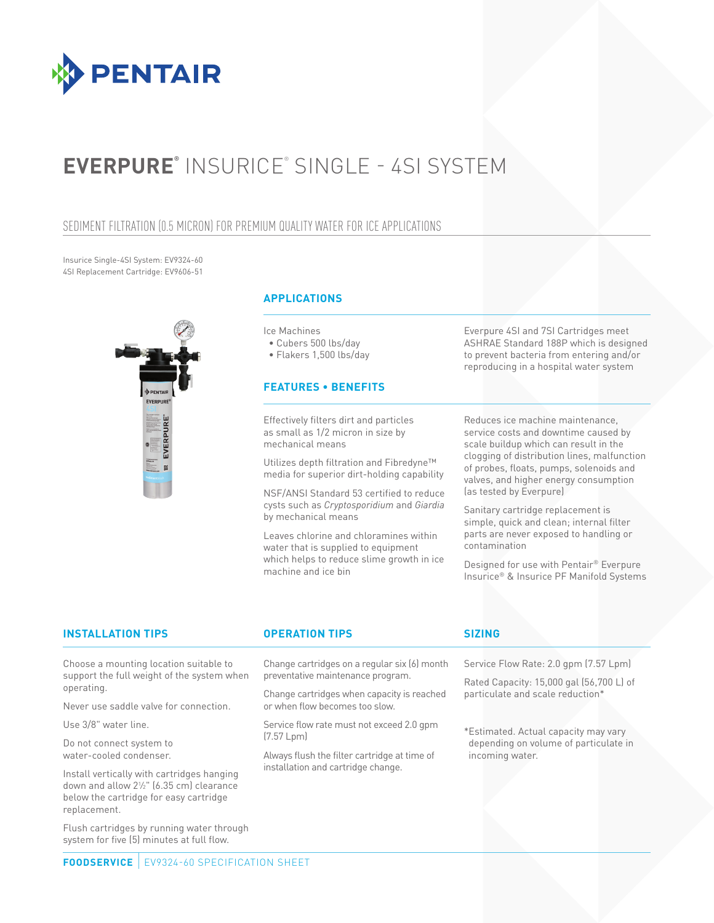

# **EVERPURE®** INSURICE® SINGLE - 4SI SYSTEM

### SEDIMENT FILTRATION (0.5 MICRON) FOR PREMIUM QUALITY WATER FOR ICE APPLICATIONS

Insurice Single-4SI System: EV9324-60 4SI Replacement Cartridge: EV9606-51



### **APPLICATIONS**

Ice Machines

• Cubers 500 lbs/day

• Flakers 1,500 lbs/day

### **FEATURES • BENEFITS**

Effectively filters dirt and particles as small as 1/2 micron in size by mechanical means

Utilizes depth filtration and Fibredyne™ media for superior dirt-holding capability

NSF/ANSI Standard 53 certified to reduce cysts such as *Cryptosporidium* and *Giardia* by mechanical means

Leaves chlorine and chloramines within water that is supplied to equipment which helps to reduce slime growth in ice machine and ice bin

Everpure 4SI and 7SI Cartridges meet ASHRAE Standard 188P which is designed to prevent bacteria from entering and/or reproducing in a hospital water system

Reduces ice machine maintenance, service costs and downtime caused by scale buildup which can result in the clogging of distribution lines, malfunction of probes, floats, pumps, solenoids and valves, and higher energy consumption (as tested by Everpure)

Sanitary cartridge replacement is simple, quick and clean; internal filter parts are never exposed to handling or contamination

Designed for use with Pentair® Everpure Insurice® & Insurice PF Manifold Systems

### **INSTALLATION TIPS OPERATION TIPS SIZING**

Choose a mounting location suitable to support the full weight of the system when operating.

Never use saddle valve for connection.

Use 3/8" water line.

Do not connect system to water-cooled condenser.

Install vertically with cartridges hanging down and allow 21 ⁄2" (6.35 cm) clearance below the cartridge for easy cartridge replacement.

Flush cartridges by running water through system for five (5) minutes at full flow.

Change cartridges on a regular six (6) month preventative maintenance program.

Change cartridges when capacity is reached or when flow becomes too slow.

Service flow rate must not exceed 2.0 gpm (7.57 Lpm)

Always flush the filter cartridge at time of installation and cartridge change.

Service Flow Rate: 2.0 gpm (7.57 Lpm)

Rated Capacity: 15,000 gal (56,700 L) of particulate and scale reduction\*

\*Estimated. Actual capacity may vary depending on volume of particulate in incoming water.